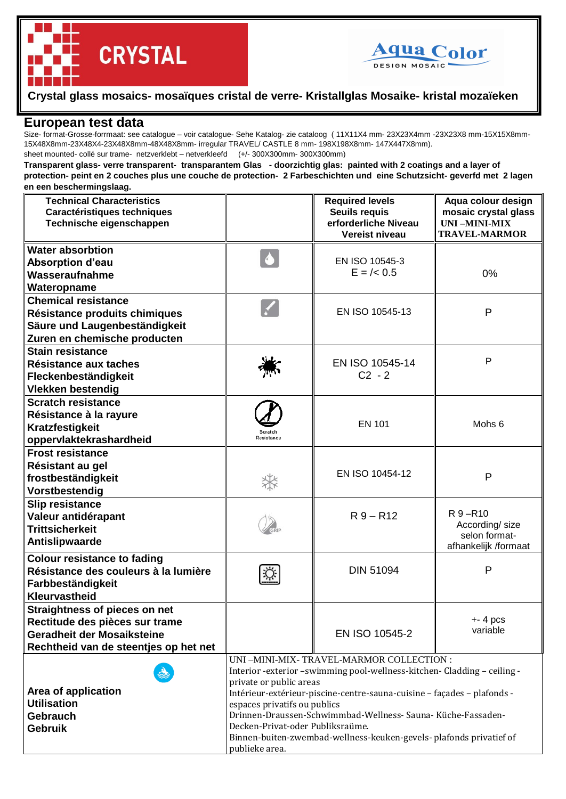

## **Crystal glass mosaics- mosaïques cristal de verre- Kristallglas Mosaike- kristal mozaïeken**

## **European test data**

**CRYSTAL** 

Size- format-Grosse-forrmaat: see catalogue – voir catalogue- Sehe Katalog- zie cataloog ( 11X11X4 mm- 23X23X4mm -23X23X8 mm-15X15X8mm-15X48X8mm-23X48X4-23X48X8mm-48X48X8mm- irregular TRAVEL/ CASTLE 8 mm- 198X198X8mm- 147X447X8mm). sheet mounted- collé sur trame- netzverklebt – netverkleefd (+/- 300X300mm- 300X300mm)

## **Transparent glass- verre transparent- transparantem Glas - doorzichtig glas: painted with 2 coatings and a layer of protection- peint en 2 couches plus une couche de protection- 2 Farbeschichten und eine Schutzsicht- geverfd met 2 lagen en een beschermingslaag.**

| <b>Technical Characteristics</b><br>Caractéristiques techniques<br>Technische eigenschappen                                            |                                                                                                                                                                                                                                                                                                                                                                                                                                                         | <b>Required levels</b><br><b>Seuils requis</b><br>erforderliche Niveau<br>Vereist niveau | Aqua colour design<br>mosaic crystal glass<br><b>UNI-MINI-MIX</b><br><b>TRAVEL-MARMOR</b> |
|----------------------------------------------------------------------------------------------------------------------------------------|---------------------------------------------------------------------------------------------------------------------------------------------------------------------------------------------------------------------------------------------------------------------------------------------------------------------------------------------------------------------------------------------------------------------------------------------------------|------------------------------------------------------------------------------------------|-------------------------------------------------------------------------------------------|
| <b>Water absorbtion</b><br><b>Absorption d'eau</b><br>Wasseraufnahme<br>Wateropname                                                    | $\blacklozenge$                                                                                                                                                                                                                                                                                                                                                                                                                                         | EN ISO 10545-3<br>$E = \frac{\ }{6}$ 0.5                                                 | 0%                                                                                        |
| <b>Chemical resistance</b><br>Résistance produits chimiques<br>Säure und Laugenbeständigkeit<br>Zuren en chemische producten           |                                                                                                                                                                                                                                                                                                                                                                                                                                                         | EN ISO 10545-13                                                                          | P                                                                                         |
| <b>Stain resistance</b><br>Résistance aux taches<br>Fleckenbeständigkeit<br><b>Vlekken bestendig</b>                                   |                                                                                                                                                                                                                                                                                                                                                                                                                                                         | EN ISO 10545-14<br>$C2 - 2$                                                              | P                                                                                         |
| <b>Scratch resistance</b><br>Résistance à la rayure<br>Kratzfestigkeit<br>oppervlaktekrashardheid                                      | Scratch<br>Resistance                                                                                                                                                                                                                                                                                                                                                                                                                                   | <b>EN 101</b>                                                                            | Mohs <sub>6</sub>                                                                         |
| <b>Frost resistance</b><br>Résistant au gel<br>frostbeständigkeit<br>Vorstbestendig                                                    |                                                                                                                                                                                                                                                                                                                                                                                                                                                         | EN ISO 10454-12                                                                          | P                                                                                         |
| <b>Slip resistance</b><br>Valeur antidérapant<br><b>Trittsicherkeit</b><br>Antislipwaarde                                              |                                                                                                                                                                                                                                                                                                                                                                                                                                                         | $R9 - R12$                                                                               | R 9-R10<br>According/size<br>selon format-<br>afhankelijk /formaat                        |
| <b>Colour resistance to fading</b><br>Résistance des couleurs à la lumière<br>Farbbeständigkeit<br>Kleurvastheid                       |                                                                                                                                                                                                                                                                                                                                                                                                                                                         | <b>DIN 51094</b>                                                                         | P                                                                                         |
| Straightness of pieces on net<br>Rectitude des pièces sur trame<br>Geradheit der Mosaiksteine<br>Rechtheid van de steentjes op het net |                                                                                                                                                                                                                                                                                                                                                                                                                                                         | EN ISO 10545-2                                                                           | $+ - 4$ pcs<br>variable                                                                   |
| Area of application<br><b>Utilisation</b><br><b>Gebrauch</b><br><b>Gebruik</b>                                                         | UNI-MINI-MIX- TRAVEL-MARMOR COLLECTION :<br>Interior -exterior -swimming pool-wellness-kitchen- Cladding - ceiling -<br>private or public areas<br>Intérieur-extérieur-piscine-centre-sauna-cuisine - façades - plafonds -<br>espaces privatifs ou publics<br>Drinnen-Draussen-Schwimmbad-Wellness- Sauna- Küche-Fassaden-<br>Decken-Privat-oder Publiksraüme.<br>Binnen-buiten-zwembad-wellness-keuken-gevels- plafonds privatief of<br>publieke area. |                                                                                          |                                                                                           |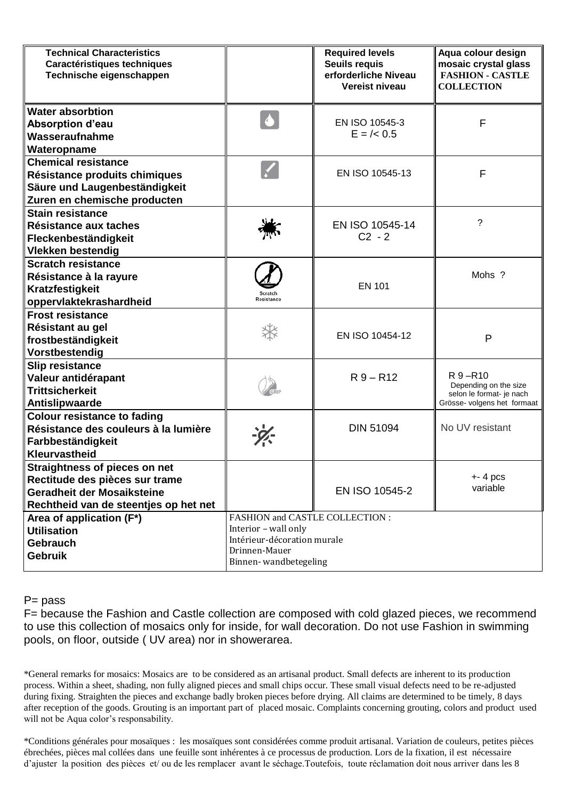| <b>Technical Characteristics</b><br>Caractéristiques techniques<br>Technische eigenschappen                                                   |                                                                                                                                  | <b>Required levels</b><br><b>Seuils requis</b><br>erforderliche Niveau<br>Vereist niveau | Aqua colour design<br>mosaic crystal glass<br><b>FASHION - CASTLE</b><br><b>COLLECTION</b>  |  |
|-----------------------------------------------------------------------------------------------------------------------------------------------|----------------------------------------------------------------------------------------------------------------------------------|------------------------------------------------------------------------------------------|---------------------------------------------------------------------------------------------|--|
| <b>Water absorbtion</b><br><b>Absorption d'eau</b><br>Wasseraufnahme<br>Wateropname                                                           | $\blacklozenge$                                                                                                                  | EN ISO 10545-3<br>$E = \frac{\ }{6}$ 0.5                                                 | F                                                                                           |  |
| <b>Chemical resistance</b><br>Résistance produits chimiques<br>Säure und Laugenbeständigkeit<br>Zuren en chemische producten                  |                                                                                                                                  | EN ISO 10545-13                                                                          | F                                                                                           |  |
| <b>Stain resistance</b><br>Résistance aux taches<br>Fleckenbeständigkeit<br><b>Vlekken bestendig</b>                                          |                                                                                                                                  | EN ISO 10545-14<br>$C2 - 2$                                                              | ?                                                                                           |  |
| <b>Scratch resistance</b><br>Résistance à la rayure<br>Kratzfestigkeit<br>oppervlaktekrashardheid                                             | Scratch<br>Resistance                                                                                                            | <b>EN 101</b>                                                                            | Mohs ?                                                                                      |  |
| <b>Frost resistance</b><br>Résistant au gel<br>frostbeständigkeit<br>Vorstbestendig                                                           |                                                                                                                                  | EN ISO 10454-12                                                                          | P                                                                                           |  |
| <b>Slip resistance</b><br>Valeur antidérapant<br><b>Trittsicherkeit</b><br>Antislipwaarde                                                     |                                                                                                                                  | $R9 - R12$                                                                               | R 9-R10<br>Depending on the size<br>selon le format- je nach<br>Grösse- volgens het formaat |  |
| <b>Colour resistance to fading</b><br>Résistance des couleurs à la lumière<br>Farbbeständigkeit<br>Kleurvastheid                              |                                                                                                                                  | <b>DIN 51094</b>                                                                         | No UV resistant                                                                             |  |
| <b>Straightness of pieces on net</b><br>Rectitude des pièces sur trame<br>Geradheit der Mosaiksteine<br>Rechtheid van de steentjes op het net |                                                                                                                                  | EN ISO 10545-2                                                                           | $+ - 4$ pcs<br>variable                                                                     |  |
| Area of application (F*)<br><b>Utilisation</b><br><b>Gebrauch</b><br><b>Gebruik</b>                                                           | FASHION and CASTLE COLLECTION :<br>Interior - wall only<br>Intérieur-décoration murale<br>Drinnen-Mauer<br>Binnen-wandbetegeling |                                                                                          |                                                                                             |  |

P= pass

F= because the Fashion and Castle collection are composed with cold glazed pieces, we recommend to use this collection of mosaics only for inside, for wall decoration. Do not use Fashion in swimming pools, on floor, outside ( UV area) nor in showerarea.

\*General remarks for mosaics: Mosaics are to be considered as an artisanal product. Small defects are inherent to its production process. Within a sheet, shading, non fully aligned pieces and small chips occur. These small visual defects need to be re-adjusted during fixing. Straighten the pieces and exchange badly broken pieces before drying. All claims are determined to be timely, 8 days after reception of the goods. Grouting is an important part of placed mosaic. Complaints concerning grouting, colors and product used will not be Aqua color's responsability.

\*Conditions générales pour mosaïques : les mosaïques sont considérées comme produit artisanal. Variation de couleurs, petites pièces ébrechées, pièces mal collées dans une feuille sont inhérentes à ce processus de production. Lors de la fixation, il est nécessaire d'ajuster la position des pièces et/ ou de les remplacer avant le séchage.Toutefois, toute réclamation doit nous arriver dans les 8